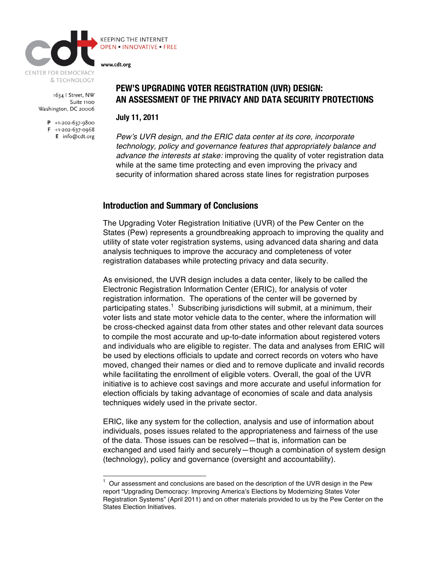

1634 | Street, NW Suite 1100 Washington, DC 20006

> $P$  +1-202-637-9800  $F + 1-202-637-0968$ E info@cdt.org

# **PEW'S UPGRADING VOTER REGISTRATION (UVR) DESIGN: AN ASSESSMENT OF THE PRIVACY AND DATA SECURITY PROTECTIONS**

**July 11, 2011**

*Pew*'*s UVR design, and the ERIC data center at its core, incorporate technology, policy and governance features that appropriately balance and advance the interests at stake:* improving the quality of voter registration data while at the same time protecting and even improving the privacy and security of information shared across state lines for registration purposes

### **Introduction and Summary of Conclusions**

The Upgrading Voter Registration Initiative (UVR) of the Pew Center on the States (Pew) represents a groundbreaking approach to improving the quality and utility of state voter registration systems, using advanced data sharing and data analysis techniques to improve the accuracy and completeness of voter registration databases while protecting privacy and data security.

As envisioned, the UVR design includes a data center, likely to be called the Electronic Registration Information Center (ERIC), for analysis of voter registration information. The operations of the center will be governed by participating states.<sup>1</sup> Subscribing jurisdictions will submit, at a minimum, their voter lists and state motor vehicle data to the center, where the information will be cross-checked against data from other states and other relevant data sources to compile the most accurate and up-to-date information about registered voters and individuals who are eligible to register. The data and analyses from ERIC will be used by elections officials to update and correct records on voters who have moved, changed their names or died and to remove duplicate and invalid records while facilitating the enrollment of eligible voters. Overall, the goal of the UVR initiative is to achieve cost savings and more accurate and useful information for election officials by taking advantage of economies of scale and data analysis techniques widely used in the private sector.

ERIC, like any system for the collection, analysis and use of information about individuals, poses issues related to the appropriateness and fairness of the use of the data. Those issues can be resolved—that is, information can be exchanged and used fairly and securely—though a combination of system design (technology), policy and governance (oversight and accountability).

 <sup>1</sup> Our assessment and conclusions are based on the description of the UVR design in the Pew report "Upgrading Democracy: Improving America's Elections by Modernizing States Voter Registration Systems" (April 2011) and on other materials provided to us by the Pew Center on the States Election Initiatives.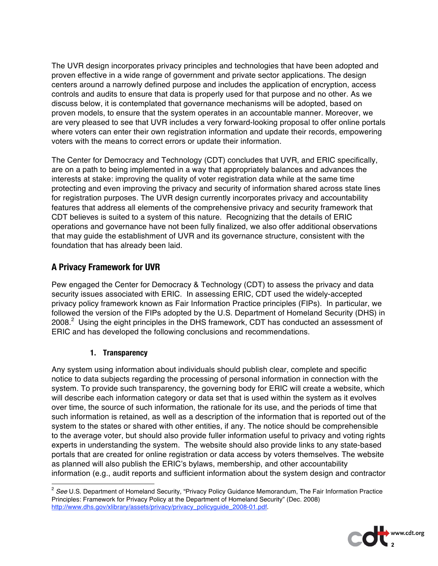The UVR design incorporates privacy principles and technologies that have been adopted and proven effective in a wide range of government and private sector applications. The design centers around a narrowly defined purpose and includes the application of encryption, access controls and audits to ensure that data is properly used for that purpose and no other. As we discuss below, it is contemplated that governance mechanisms will be adopted, based on proven models, to ensure that the system operates in an accountable manner. Moreover, we are very pleased to see that UVR includes a very forward-looking proposal to offer online portals where voters can enter their own registration information and update their records, empowering voters with the means to correct errors or update their information.

The Center for Democracy and Technology (CDT) concludes that UVR, and ERIC specifically, are on a path to being implemented in a way that appropriately balances and advances the interests at stake: improving the quality of voter registration data while at the same time protecting and even improving the privacy and security of information shared across state lines for registration purposes. The UVR design currently incorporates privacy and accountability features that address all elements of the comprehensive privacy and security framework that CDT believes is suited to a system of this nature. Recognizing that the details of ERIC operations and governance have not been fully finalized, we also offer additional observations that may guide the establishment of UVR and its governance structure, consistent with the foundation that has already been laid.

# **A Privacy Framework for UVR**

Pew engaged the Center for Democracy & Technology (CDT) to assess the privacy and data security issues associated with ERIC. In assessing ERIC, CDT used the widely-accepted privacy policy framework known as Fair Information Practice principles (FIPs). In particular, we followed the version of the FIPs adopted by the U.S. Department of Homeland Security (DHS) in 2008.<sup>2</sup> Using the eight principles in the DHS framework, CDT has conducted an assessment of ERIC and has developed the following conclusions and recommendations.

## **1. Transparency**

Any system using information about individuals should publish clear, complete and specific notice to data subjects regarding the processing of personal information in connection with the system. To provide such transparency, the governing body for ERIC will create a website, which will describe each information category or data set that is used within the system as it evolves over time, the source of such information, the rationale for its use, and the periods of time that such information is retained, as well as a description of the information that is reported out of the system to the states or shared with other entities, if any. The notice should be comprehensible to the average voter, but should also provide fuller information useful to privacy and voting rights experts in understanding the system. The website should also provide links to any state-based portals that are created for online registration or data access by voters themselves. The website as planned will also publish the ERIC's bylaws, membership, and other accountability information (e.g., audit reports and sufficient information about the system design and contractor

<sup>&</sup>lt;sup>2</sup> See U.S. Department of Homeland Security, "Privacy Policy Guidance Memorandum, The Fair Information Practice Principles: Framework for Privacy Policy at the Department of Homeland Security" (Dec. 2008) http://www.dhs.gov/xlibrary/assets/privacy/privacy\_policyguide\_2008-01.pdf.

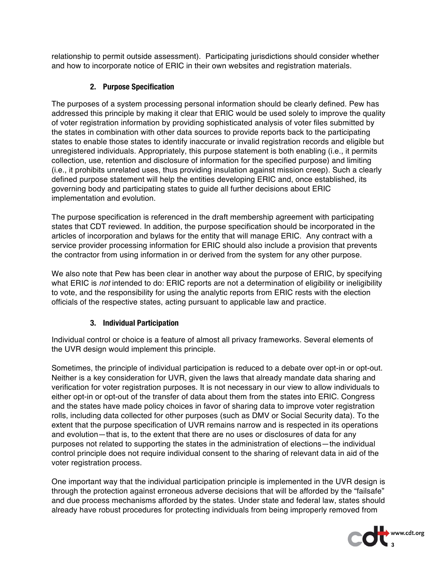relationship to permit outside assessment). Participating jurisdictions should consider whether and how to incorporate notice of ERIC in their own websites and registration materials.

## **2. Purpose Specification**

The purposes of a system processing personal information should be clearly defined. Pew has addressed this principle by making it clear that ERIC would be used solely to improve the quality of voter registration information by providing sophisticated analysis of voter files submitted by the states in combination with other data sources to provide reports back to the participating states to enable those states to identify inaccurate or invalid registration records and eligible but unregistered individuals. Appropriately, this purpose statement is both enabling (i.e., it permits collection, use, retention and disclosure of information for the specified purpose) and limiting (i.e., it prohibits unrelated uses, thus providing insulation against mission creep). Such a clearly defined purpose statement will help the entities developing ERIC and, once established, its governing body and participating states to guide all further decisions about ERIC implementation and evolution.

The purpose specification is referenced in the draft membership agreement with participating states that CDT reviewed. In addition, the purpose specification should be incorporated in the articles of incorporation and bylaws for the entity that will manage ERIC. Any contract with a service provider processing information for ERIC should also include a provision that prevents the contractor from using information in or derived from the system for any other purpose.

We also note that Pew has been clear in another way about the purpose of ERIC, by specifying what ERIC is *not* intended to do: ERIC reports are not a determination of eligibility or ineligibility to vote, and the responsibility for using the analytic reports from ERIC rests with the election officials of the respective states, acting pursuant to applicable law and practice.

## **3. Individual Participation**

Individual control or choice is a feature of almost all privacy frameworks. Several elements of the UVR design would implement this principle.

Sometimes, the principle of individual participation is reduced to a debate over opt-in or opt-out. Neither is a key consideration for UVR, given the laws that already mandate data sharing and verification for voter registration purposes. It is not necessary in our view to allow individuals to either opt-in or opt-out of the transfer of data about them from the states into ERIC. Congress and the states have made policy choices in favor of sharing data to improve voter registration rolls, including data collected for other purposes (such as DMV or Social Security data). To the extent that the purpose specification of UVR remains narrow and is respected in its operations and evolution—that is, to the extent that there are no uses or disclosures of data for any purposes not related to supporting the states in the administration of elections—the individual control principle does not require individual consent to the sharing of relevant data in aid of the voter registration process.

One important way that the individual participation principle is implemented in the UVR design is through the protection against erroneous adverse decisions that will be afforded by the "failsafe" and due process mechanisms afforded by the states. Under state and federal law, states should already have robust procedures for protecting individuals from being improperly removed from

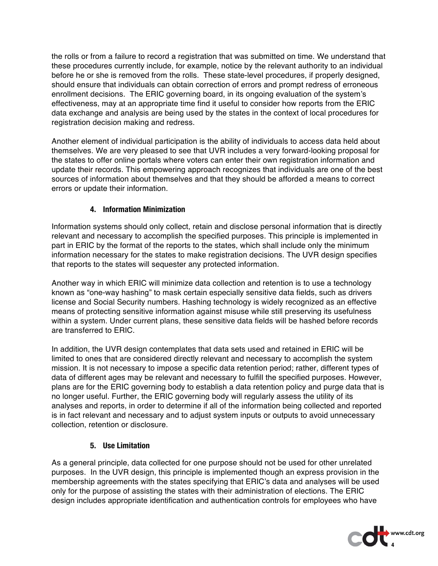the rolls or from a failure to record a registration that was submitted on time. We understand that these procedures currently include, for example, notice by the relevant authority to an individual before he or she is removed from the rolls. These state-level procedures, if properly designed, should ensure that individuals can obtain correction of errors and prompt redress of erroneous enrollment decisions. The ERIC governing board, in its ongoing evaluation of the system's effectiveness, may at an appropriate time find it useful to consider how reports from the ERIC data exchange and analysis are being used by the states in the context of local procedures for registration decision making and redress.

Another element of individual participation is the ability of individuals to access data held about themselves. We are very pleased to see that UVR includes a very forward-looking proposal for the states to offer online portals where voters can enter their own registration information and update their records. This empowering approach recognizes that individuals are one of the best sources of information about themselves and that they should be afforded a means to correct errors or update their information.

## **4. Information Minimization**

Information systems should only collect, retain and disclose personal information that is directly relevant and necessary to accomplish the specified purposes. This principle is implemented in part in ERIC by the format of the reports to the states, which shall include only the minimum information necessary for the states to make registration decisions. The UVR design specifies that reports to the states will sequester any protected information.

Another way in which ERIC will minimize data collection and retention is to use a technology known as "one-way hashing" to mask certain especially sensitive data fields, such as drivers license and Social Security numbers. Hashing technology is widely recognized as an effective means of protecting sensitive information against misuse while still preserving its usefulness within a system. Under current plans, these sensitive data fields will be hashed before records are transferred to ERIC.

In addition, the UVR design contemplates that data sets used and retained in ERIC will be limited to ones that are considered directly relevant and necessary to accomplish the system mission. It is not necessary to impose a specific data retention period; rather, different types of data of different ages may be relevant and necessary to fulfill the specified purposes. However, plans are for the ERIC governing body to establish a data retention policy and purge data that is no longer useful. Further, the ERIC governing body will regularly assess the utility of its analyses and reports, in order to determine if all of the information being collected and reported is in fact relevant and necessary and to adjust system inputs or outputs to avoid unnecessary collection, retention or disclosure.

### **5. Use Limitation**

As a general principle, data collected for one purpose should not be used for other unrelated purposes. In the UVR design, this principle is implemented though an express provision in the membership agreements with the states specifying that ERIC's data and analyses will be used only for the purpose of assisting the states with their administration of elections. The ERIC design includes appropriate identification and authentication controls for employees who have

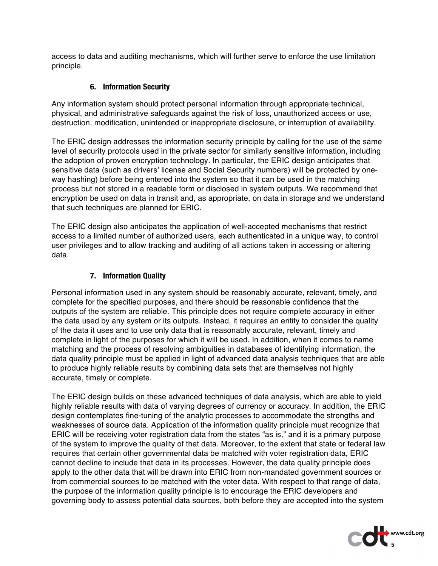access to data and auditing mechanisms, which will further serve to enforce the use limitation principle.

#### **6. Information Security**

Any information system should protect personal information through appropriate technical, physical, and administrative safeguards against the risk of loss, unauthorized access or use, destruction, modification, unintended or inappropriate disclosure, or interruption of availability.

The ERIC design addresses the information security principle by calling for the use of the same level of security protocols used in the private sector for similarly sensitive information, including the adoption of proven encryption technology. In particular, the ERIC design anticipates that sensitive data (such as drivers' license and Social Security numbers) will be protected by oneway hashing) before being entered into the system so that it can be used in the matching process but not stored in a readable form or disclosed in system outputs. We recommend that encryption be used on data in transit and, as appropriate, on data in storage and we understand that such techniques are planned for ERIC.

The ERIC design also anticipates the application of well-accepted mechanisms that restrict access to a limited number of authorized users, each authenticated in a unique way, to control user privileges and to allow tracking and auditing of all actions taken in accessing or altering data.

### **7. Information Quality**

Personal information used in any system should be reasonably accurate, relevant, timely, and complete for the specified purposes, and there should be reasonable confidence that the outputs of the system are reliable. This principle does not require complete accuracy in either the data used by any system or its outputs. Instead, it requires an entity to consider the quality of the data it uses and to use only data that is reasonably accurate, relevant, timely and complete in light of the purposes for which it will be used. In addition, when it comes to name matching and the process of resolving ambiguities in databases of identifying information, the data quality principle must be applied in light of advanced data analysis techniques that are able to produce highly reliable results by combining data sets that are themselves not highly accurate, timely or complete.

The ERIC design builds on these advanced techniques of data analysis, which are able to yield highly reliable results with data of varying degrees of currency or accuracy. In addition, the ERIC design contemplates fine-tuning of the analytic processes to accommodate the strengths and weaknesses of source data. Application of the information quality principle must recognize that ERIC will be receiving voter registration data from the states "as is," and it is a primary purpose of the system to improve the quality of that data. Moreover, to the extent that state or federal law requires that certain other governmental data be matched with voter registration data, ERIC cannot decline to include that data in its processes. However, the data quality principle does apply to the other data that will be drawn into ERIC from non-mandated government sources or from commercial sources to be matched with the voter data. With respect to that range of data, the purpose of the information quality principle is to encourage the ERIC developers and governing body to assess potential data sources, both before they are accepted into the system

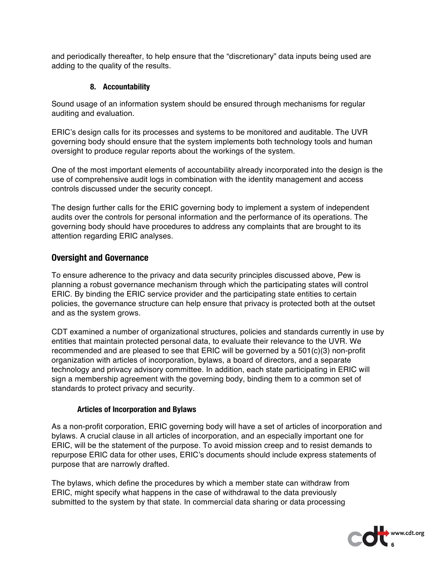and periodically thereafter, to help ensure that the "discretionary" data inputs being used are adding to the quality of the results.

### **8. Accountability**

Sound usage of an information system should be ensured through mechanisms for regular auditing and evaluation.

ERIC's design calls for its processes and systems to be monitored and auditable. The UVR governing body should ensure that the system implements both technology tools and human oversight to produce regular reports about the workings of the system.

One of the most important elements of accountability already incorporated into the design is the use of comprehensive audit logs in combination with the identity management and access controls discussed under the security concept.

The design further calls for the ERIC governing body to implement a system of independent audits over the controls for personal information and the performance of its operations. The governing body should have procedures to address any complaints that are brought to its attention regarding ERIC analyses.

## **Oversight and Governance**

To ensure adherence to the privacy and data security principles discussed above, Pew is planning a robust governance mechanism through which the participating states will control ERIC. By binding the ERIC service provider and the participating state entities to certain policies, the governance structure can help ensure that privacy is protected both at the outset and as the system grows.

CDT examined a number of organizational structures, policies and standards currently in use by entities that maintain protected personal data, to evaluate their relevance to the UVR. We recommended and are pleased to see that ERIC will be governed by a 501(c)(3) non-profit organization with articles of incorporation, bylaws, a board of directors, and a separate technology and privacy advisory committee. In addition, each state participating in ERIC will sign a membership agreement with the governing body, binding them to a common set of standards to protect privacy and security.

#### **Articles of Incorporation and Bylaws**

As a non-profit corporation, ERIC governing body will have a set of articles of incorporation and bylaws. A crucial clause in all articles of incorporation, and an especially important one for ERIC, will be the statement of the purpose. To avoid mission creep and to resist demands to repurpose ERIC data for other uses, ERIC's documents should include express statements of purpose that are narrowly drafted.

The bylaws, which define the procedures by which a member state can withdraw from ERIC, might specify what happens in the case of withdrawal to the data previously submitted to the system by that state. In commercial data sharing or data processing

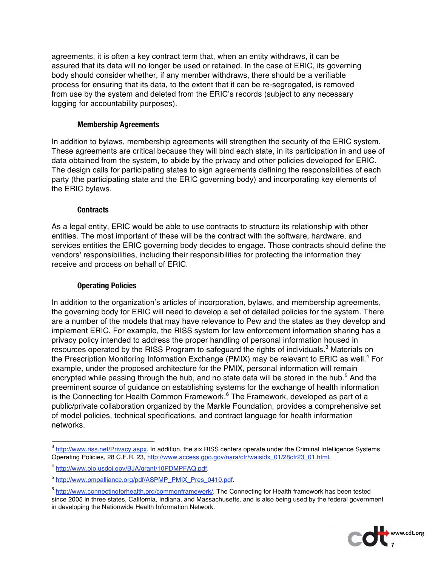agreements, it is often a key contract term that, when an entity withdraws, it can be assured that its data will no longer be used or retained. In the case of ERIC, its governing body should consider whether, if any member withdraws, there should be a verifiable process for ensuring that its data, to the extent that it can be re-segregated, is removed from use by the system and deleted from the ERIC's records (subject to any necessary logging for accountability purposes).

#### **Membership Agreements**

In addition to bylaws, membership agreements will strengthen the security of the ERIC system. These agreements are critical because they will bind each state, in its participation in and use of data obtained from the system, to abide by the privacy and other policies developed for ERIC. The design calls for participating states to sign agreements defining the responsibilities of each party (the participating state and the ERIC governing body) and incorporating key elements of the ERIC bylaws.

#### **Contracts**

As a legal entity, ERIC would be able to use contracts to structure its relationship with other entities. The most important of these will be the contract with the software, hardware, and services entities the ERIC governing body decides to engage. Those contracts should define the vendors' responsibilities, including their responsibilities for protecting the information they receive and process on behalf of ERIC.

#### **Operating Policies**

In addition to the organization's articles of incorporation, bylaws, and membership agreements, the governing body for ERIC will need to develop a set of detailed policies for the system. There are a number of the models that may have relevance to Pew and the states as they develop and implement ERIC. For example, the RISS system for law enforcement information sharing has a privacy policy intended to address the proper handling of personal information housed in resources operated by the RISS Program to safeguard the rights of individuals.<sup>3</sup> Materials on the Prescription Monitoring Information Exchange (PMIX) may be relevant to ERIC as well.<sup>4</sup> For example, under the proposed architecture for the PMIX, personal information will remain encrypted while passing through the hub, and no state data will be stored in the hub.<sup>5</sup> And the preeminent source of guidance on establishing systems for the exchange of health information is the Connecting for Health Common Framework. $^6$  The Framework, developed as part of a public/private collaboration organized by the Markle Foundation, provides a comprehensive set of model policies, technical specifications, and contract language for health information networks.

<sup>&</sup>lt;sup>6</sup> http://www.connectingforhealth.org/commonframework/. The Connecting for Health framework has been tested since 2005 in three states, California, Indiana, and Massachusetts, and is also being used by the federal government in developing the Nationwide Health Information Network.



<sup>&</sup>lt;sup>3</sup> http://www.riss.net/Privacy.aspx. In addition, the six RISS centers operate under the Criminal Intelligence Systems Operating Policies, 28 C.F.R. 23, http://www.access.gpo.gov/nara/cfr/waisidx\_01/28cfr23\_01.html.

<sup>4</sup> http://www.ojp.usdoj.gov/BJA/grant/10PDMPFAQ.pdf.

<sup>5</sup> http://www.pmpalliance.org/pdf/ASPMP\_PMIX\_Pres\_0410.pdf.